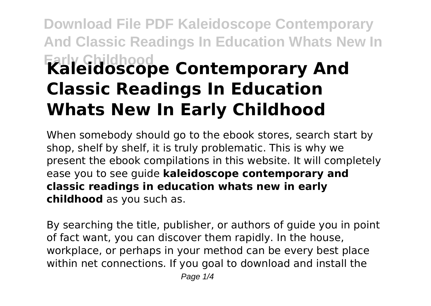## **Download File PDF Kaleidoscope Contemporary And Classic Readings In Education Whats New In Early Childhood Kaleidoscope Contemporary And Classic Readings In Education Whats New In Early Childhood**

When somebody should go to the ebook stores, search start by shop, shelf by shelf, it is truly problematic. This is why we present the ebook compilations in this website. It will completely ease you to see guide **kaleidoscope contemporary and classic readings in education whats new in early childhood** as you such as.

By searching the title, publisher, or authors of guide you in point of fact want, you can discover them rapidly. In the house, workplace, or perhaps in your method can be every best place within net connections. If you goal to download and install the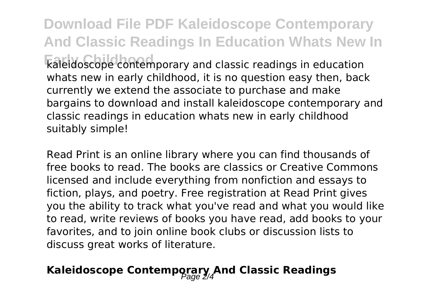**Download File PDF Kaleidoscope Contemporary And Classic Readings In Education Whats New In Early Childhood** kaleidoscope contemporary and classic readings in education whats new in early childhood, it is no question easy then, back currently we extend the associate to purchase and make bargains to download and install kaleidoscope contemporary and classic readings in education whats new in early childhood suitably simple!

Read Print is an online library where you can find thousands of free books to read. The books are classics or Creative Commons licensed and include everything from nonfiction and essays to fiction, plays, and poetry. Free registration at Read Print gives you the ability to track what you've read and what you would like to read, write reviews of books you have read, add books to your favorites, and to join online book clubs or discussion lists to discuss great works of literature.

## Kaleidoscope Contemporary And Classic Readings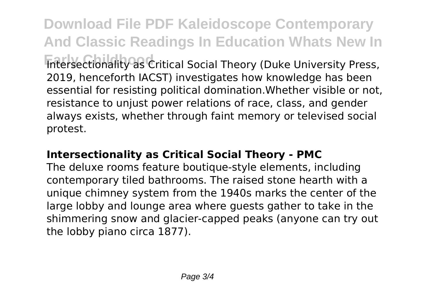**Download File PDF Kaleidoscope Contemporary And Classic Readings In Education Whats New In Entersectionality as Critical Social Theory (Duke University Press,** 2019, henceforth IACST) investigates how knowledge has been essential for resisting political domination.Whether visible or not, resistance to unjust power relations of race, class, and gender always exists, whether through faint memory or televised social protest.

## **Intersectionality as Critical Social Theory - PMC**

The deluxe rooms feature boutique-style elements, including contemporary tiled bathrooms. The raised stone hearth with a unique chimney system from the 1940s marks the center of the large lobby and lounge area where guests gather to take in the shimmering snow and glacier-capped peaks (anyone can try out the lobby piano circa 1877).